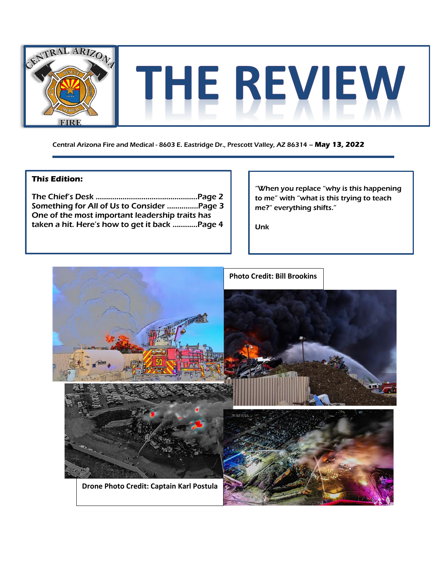

Central Arizona Fire and Medical - 8603 E. Eastridge Dr., Prescott Valley, AZ 86314 – **May 13, 2022**

### **This Edition:**

The Chief's Desk ………………………………..………..Page 2 Something for All of Us to Consider ……..…....Page 3 One of the most important leadership traits has taken a hit. Here's how to get it back …………Page 4

"When you replace "why is this happening to me" with "what is this trying to teach me?" everything shifts."

Unk

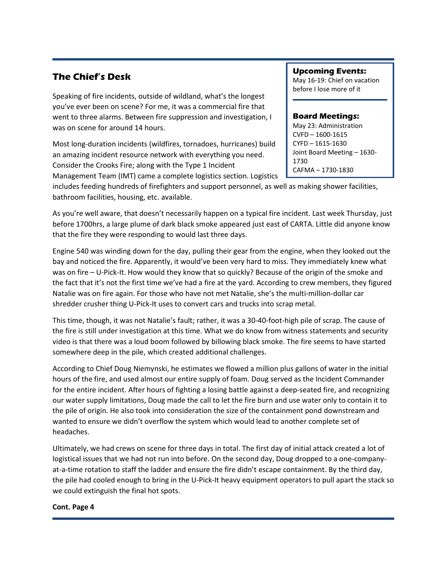## **The Chief's Desk**

Speaking of fire incidents, outside of wildland, what's the longest you've ever been on scene? For me, it was a commercial fire that went to three alarms. Between fire suppression and investigation, I was on scene for around 14 hours.

Most long-duration incidents (wildfires, tornadoes, hurricanes) build an amazing incident resource network with everything you need. Consider the Crooks Fire; along with the Type 1 Incident Management Team (IMT) came a complete logistics section. Logistics **Upcoming Events:** May 16-19: Chief on vacation before I lose more of it

#### **Board Meetings:**

May 23: Administration CVFD – 1600-1615 CYFD – 1615-1630 Joint Board Meeting – 1630- 1730 CAFMA – 1730-1830

includes feeding hundreds of firefighters and support personnel, as well as making shower facilities, bathroom facilities, housing, etc. available.

As you're well aware, that doesn't necessarily happen on a typical fire incident. Last week Thursday, just before 1700hrs, a large plume of dark black smoke appeared just east of CARTA. Little did anyone know that the fire they were responding to would last three days.

Engine 540 was winding down for the day, pulling their gear from the engine, when they looked out the bay and noticed the fire. Apparently, it would've been very hard to miss. They immediately knew what was on fire – U-Pick-It. How would they know that so quickly? Because of the origin of the smoke and the fact that it's not the first time we've had a fire at the yard. According to crew members, they figured Natalie was on fire again. For those who have not met Natalie, she's the multi-million-dollar car shredder crusher thing U-Pick-It uses to convert cars and trucks into scrap metal.

This time, though, it was not Natalie's fault; rather, it was a 30-40-foot-high pile of scrap. The cause of the fire is still under investigation at this time. What we do know from witness statements and security video is that there was a loud boom followed by billowing black smoke. The fire seems to have started somewhere deep in the pile, which created additional challenges.

According to Chief Doug Niemynski, he estimates we flowed a million plus gallons of water in the initial hours of the fire, and used almost our entire supply of foam. Doug served as the Incident Commander for the entire incident. After hours of fighting a losing battle against a deep-seated fire, and recognizing our water supply limitations, Doug made the call to let the fire burn and use water only to contain it to the pile of origin. He also took into consideration the size of the containment pond downstream and wanted to ensure we didn't overflow the system which would lead to another complete set of headaches.

Ultimately, we had crews on scene for three days in total. The first day of initial attack created a lot of logistical issues that we had not run into before. On the second day, Doug dropped to a one-companyat-a-time rotation to staff the ladder and ensure the fire didn't escape containment. By the third day, the pile had cooled enough to bring in the U-Pick-It heavy equipment operators to pull apart the stack so we could extinguish the final hot spots.

#### **Cont. Page 4**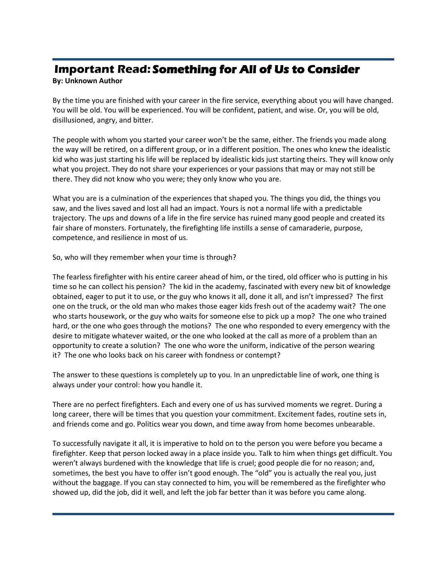# **Important Read: Something for All of Us to Consider**

### **By: Unknown Author**

By the time you are finished with your career in the fire service, everything about you will have changed. You will be old. You will be experienced. You will be confident, patient, and wise. Or, you will be old, disillusioned, angry, and bitter.

The people with whom you started your career won't be the same, either. The friends you made along the way will be retired, on a different group, or in a different position. The ones who knew the idealistic kid who was just starting his life will be replaced by idealistic kids just starting theirs. They will know only what you project. They do not share your experiences or your passions that may or may not still be there. They did not know who you were; they only know who you are.

What you are is a culmination of the experiences that shaped you. The things you did, the things you saw, and the lives saved and lost all had an impact. Yours is not a normal life with a predictable trajectory. The ups and downs of a life in the fire service has ruined many good people and created its fair share of monsters. Fortunately, the firefighting life instills a sense of camaraderie, purpose, competence, and resilience in most of us.

So, who will they remember when your time is through?

The fearless firefighter with his entire career ahead of him, or the tired, old officer who is putting in his time so he can collect his pension? The kid in the academy, fascinated with every new bit of knowledge obtained, eager to put it to use, or the guy who knows it all, done it all, and isn't impressed? The first one on the truck, or the old man who makes those eager kids fresh out of the academy wait? The one who starts housework, or the guy who waits for someone else to pick up a mop? The one who trained hard, or the one who goes through the motions? The one who responded to every emergency with the desire to mitigate whatever waited, or the one who looked at the call as more of a problem than an opportunity to create a solution? The one who wore the uniform, indicative of the person wearing it? The one who looks back on his career with fondness or contempt?

The answer to these questions is completely up to you. In an unpredictable line of work, one thing is always under your control: how you handle it.

There are no perfect firefighters. Each and every one of us has survived moments we regret. During a long career, there will be times that you question your commitment. Excitement fades, routine sets in, and friends come and go. Politics wear you down, and time away from home becomes unbearable.

To successfully navigate it all, it is imperative to hold on to the person you were before you became a firefighter. Keep that person locked away in a place inside you. Talk to him when things get difficult. You weren't always burdened with the knowledge that life is cruel; good people die for no reason; and, sometimes, the best you have to offer isn't good enough. The "old" you is actually the real you, just without the baggage. If you can stay connected to him, you will be remembered as the firefighter who showed up, did the job, did it well, and left the job far better than it was before you came along.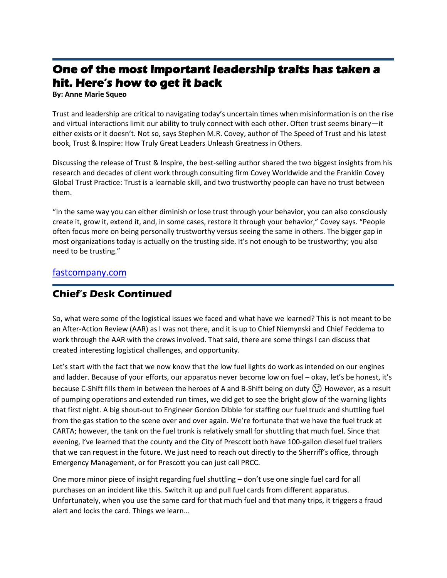# **One of the most important leadership traits has taken a hit. Here's how to get it back**

**By: Anne Marie Squeo**

Trust and leadership are critical to navigating today's uncertain times when misinformation is on the rise and virtual interactions limit our ability to truly connect with each other. Often trust seems binary—it either exists or it doesn't. Not so, says Stephen M.R. Covey, author of The Speed of Trust and his latest book, Trust & Inspire: How Truly Great Leaders Unleash Greatness in Others.

Discussing the release of Trust & Inspire, the best-selling author shared the two biggest insights from his research and decades of client work through consulting firm Covey Worldwide and the Franklin Covey Global Trust Practice: Trust is a learnable skill, and two trustworthy people can have no trust between them.

"In the same way you can either diminish or lose trust through your behavior, you can also consciously create it, grow it, extend it, and, in some cases, restore it through your behavior," Covey says. "People often focus more on being personally trustworthy versus seeing the same in others. The bigger gap in most organizations today is actually on the trusting side. It's not enough to be trustworthy; you also need to be trusting."

### [fastcompany.com](https://www.fastcompany.com/90747206/one-of-the-most-important-leadership-traits-has-taken-a-hit-heres-how-to-get-it-back)

## **Chief's Desk Continued**

So, what were some of the logistical issues we faced and what have we learned? This is not meant to be an After-Action Review (AAR) as I was not there, and it is up to Chief Niemynski and Chief Feddema to work through the AAR with the crews involved. That said, there are some things I can discuss that created interesting logistical challenges, and opportunity.

Let's start with the fact that we now know that the low fuel lights do work as intended on our engines and ladder. Because of your efforts, our apparatus never become low on fuel – okay, let's be honest, it's because C-Shift fills them in between the heroes of A and B-Shift being on duty  $\odot$  However, as a result of pumping operations and extended run times, we did get to see the bright glow of the warning lights that first night. A big shout-out to Engineer Gordon Dibble for staffing our fuel truck and shuttling fuel from the gas station to the scene over and over again. We're fortunate that we have the fuel truck at CARTA; however, the tank on the fuel trunk is relatively small for shuttling that much fuel. Since that evening, I've learned that the county and the City of Prescott both have 100-gallon diesel fuel trailers that we can request in the future. We just need to reach out directly to the Sherriff's office, through Emergency Management, or for Prescott you can just call PRCC.

One more minor piece of insight regarding fuel shuttling – don't use one single fuel card for all purchases on an incident like this. Switch it up and pull fuel cards from different apparatus. Unfortunately, when you use the same card for that much fuel and that many trips, it triggers a fraud alert and locks the card. Things we learn…